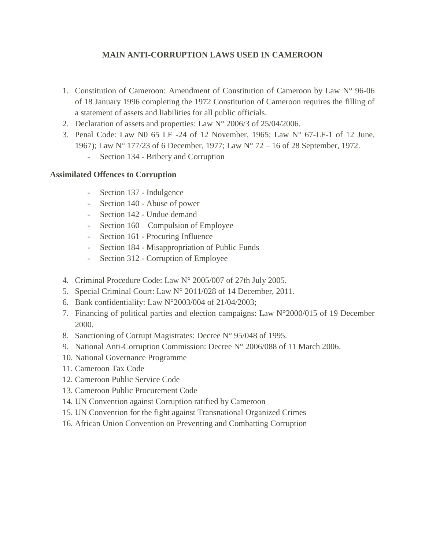## **MAIN ANTI-CORRUPTION LAWS USED IN CAMEROON**

- 1. Constitution of Cameroon: Amendment of Constitution of Cameroon by Law N° 96-06 of 18 January 1996 completing the 1972 Constitution of Cameroon requires the filling of a statement of assets and liabilities for all public officials.
- 2. Declaration of assets and properties: Law N° 2006/3 of 25/04/2006.
- 3. Penal Code: Law N0 65 LF -24 of 12 November, 1965; Law N° 67-LF-1 of 12 June, 1967); Law N° 177/23 of 6 December, 1977; Law N° 72 – 16 of 28 September, 1972.
	- Section 134 Bribery and Corruption

## **Assimilated Offences to Corruption**

- Section 137 Indulgence
- Section 140 Abuse of power
- Section 142 Undue demand
- Section 160 Compulsion of Employee
- Section 161 Procuring Influence
- Section 184 Misappropriation of Public Funds
- Section 312 Corruption of Employee
- 4. Criminal Procedure Code: Law N° 2005/007 of 27th July 2005.
- 5. Special Criminal Court: Law N° 2011/028 of 14 December, 2011.
- 6. Bank confidentiality: Law N°2003/004 of 21/04/2003;
- 7. Financing of political parties and election campaigns: Law N°2000/015 of 19 December 2000.
- 8. Sanctioning of Corrupt Magistrates: Decree N° 95/048 of 1995.
- 9. National Anti-Corruption Commission: Decree N° 2006/088 of 11 March 2006.
- 10. National Governance Programme
- 11. Cameroon Tax Code
- 12. Cameroon Public Service Code
- 13. Cameroon Public Procurement Code
- 14. UN Convention against Corruption ratified by Cameroon
- 15. UN Convention for the fight against Transnational Organized Crimes
- 16. African Union Convention on Preventing and Combatting Corruption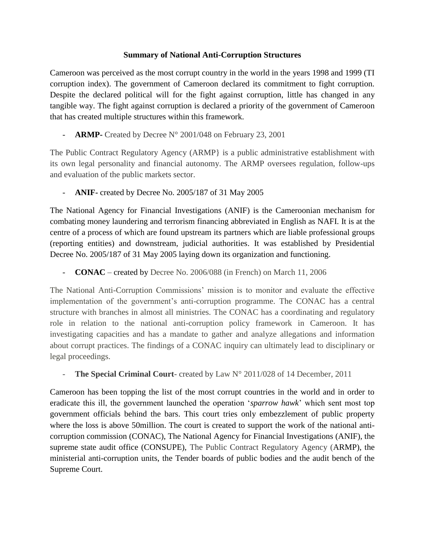## **Summary of National Anti-Corruption Structures**

Cameroon was perceived as the most corrupt country in the world in the years 1998 and 1999 (TI corruption index). The government of Cameroon declared its commitment to fight corruption. Despite the declared political will for the fight against corruption, little has changed in any tangible way. The fight against corruption is declared a priority of the government of Cameroon that has created multiple structures within this framework.

ARMP- Created by Decree N° 2001/048 on February 23, 2001

The Public Contract Regulatory Agency (ARMP} is a public administrative establishment with its own legal personality and financial autonomy. The ARMP oversees regulation, follow-ups and evaluation of the public markets sector.

- **ANIF-** created by Decree No. 2005/187 of 31 May 2005

The National Agency for Financial Investigations (ANIF) is the Cameroonian mechanism for combating money laundering and terrorism financing abbreviated in English as NAFI. It is at the centre of a process of which are found upstream its partners which are liable professional groups (reporting entities) and downstream, judicial authorities. It was established by Presidential Decree No. 2005/187 of 31 May 2005 laying down its organization and functioning.

- **CONAC** – created by Decree No. 2006/088 (in French) on March 11, 2006

The National Anti-Corruption Commissions' mission is to monitor and evaluate the effective implementation of the government's anti-corruption programme. The CONAC has a central structure with branches in almost all ministries. The CONAC has a coordinating and regulatory role in relation to the national anti-corruption policy framework in Cameroon. It has investigating capacities and has a mandate to gather and analyze allegations and information about corrupt practices. The findings of a CONAC inquiry can ultimately lead to disciplinary or legal proceedings.

**The Special Criminal Court-** created by Law N° 2011/028 of 14 December, 2011

Cameroon has been topping the list of the most corrupt countries in the world and in order to eradicate this ill, the government launched the operation '*sparrow hawk*' which sent most top government officials behind the bars. This court tries only embezzlement of public property where the loss is above 50million. The court is created to support the work of the national anticorruption commission (CONAC), The National Agency for Financial Investigations (ANIF), the supreme state audit office (CONSUPE), The Public Contract Regulatory Agency (ARMP), the ministerial anti-corruption units, the Tender boards of public bodies and the audit bench of the Supreme Court.